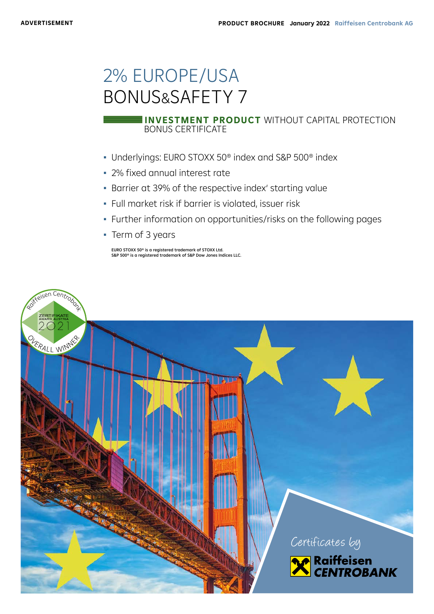# 2% EUROPE/USA BONUS&SAFETY 7

### BONUS CERTIFICATE **INVESTMENT PRODUCT** WITHOUT CAPITAL PROTECTION

- Underlyings: EURO STOXX 50® index and S&P 500® index
- 2% fixed annual interest rate
- Barrier at 39% of the respective index' starting value
- Full market risk if barrier is violated, issuer risk
- Further information on opportunities/risks on the following pages
- Term of 3 years

EURO STOXX 50® is a registered trademark of STOXX Ltd. S&P 500® is a registered trademark of S&P Dow Jones Indices LLC.

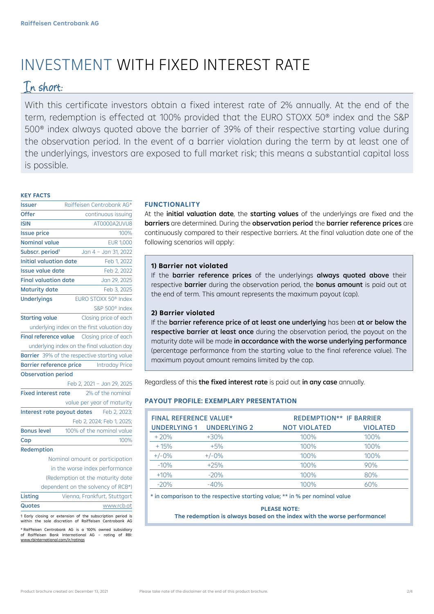## INVESTMENT WITH FIXED INTEREST RATE

## In short:

With this certificate investors obtain a fixed interest rate of 2% annually. At the end of the term, redemption is effected at 100% provided that the EURO STOXX 50® index and the S&P 500® index always quoted above the barrier of 39% of their respective starting value during the observation period. In the event of a barrier violation during the term by at least one of the underlyings, investors are exposed to full market risk; this means a substantial capital loss is possible.

#### **KEY FACTS**

| <b>Issuer</b>                  | Raiffeisen Centrobank AG*                    |  |  |
|--------------------------------|----------------------------------------------|--|--|
| Offer                          | continuous issuing                           |  |  |
| <b>ISIN</b>                    | AT0000A2UVU8                                 |  |  |
| <b>Issue price</b>             | 100%                                         |  |  |
| <b>Nominal value</b>           | <b>EUR 1,000</b>                             |  |  |
| Subscr. period <sup>1</sup>    | Jan 4 - Jan 31, 2022                         |  |  |
| <b>Initial valuation date</b>  | Feb 1, 2022                                  |  |  |
| <b>Issue value date</b>        | Feb 2, 2022                                  |  |  |
| <b>Final valuation date</b>    | Jan 29, 2025                                 |  |  |
| <b>Maturity date</b>           | Feb 3, 2025                                  |  |  |
| <b>Underlyings</b>             | EURO STOXX 50 <sup>®</sup> Index             |  |  |
|                                | S&P 500 <sup>®</sup> Index                   |  |  |
| <b>Starting value</b>          | Closing price of each                        |  |  |
|                                | underlying index on the first valuation day  |  |  |
|                                | Final reference value Closing price of each  |  |  |
|                                | underlying index on the final valuation day  |  |  |
|                                | Barrier 39% of the respective starting value |  |  |
| <b>Barrier reference price</b> | <b>Intraday Price</b>                        |  |  |
| <b>Observation period</b>      |                                              |  |  |
|                                | Feb 2, 2021 - Jan 29, 2025                   |  |  |
| <b>Fixed interest rate</b>     | 2% of the nominal                            |  |  |
|                                | value per year of maturity                   |  |  |
|                                | Interest rate payout dates Feb 2, 2023;      |  |  |
|                                | Feb 2, 2024; Feb 1, 2025;                    |  |  |
| <b>Bonus level</b>             | 100% of the nominal value                    |  |  |
| Cap                            | 100%                                         |  |  |
| Redemption                     |                                              |  |  |

Nominal amount or participation in the worse index performance (Redemption at the maturity date dependent on the solvency of RCB\*) Listing **Vienna, Frankfurt, Stuttgart** Quotes www.rcb.at

1 Early closing or extension of the subscription period is within the sole discretion of Raiffeisen Centrobank AG

\* Raiffeisen Centrobank AG is a 100% owned subsidiary of Raiffeisen Bank International AG – rating of RBI: www.rbinternational.com/ir/ratings

### **FUNCTIONALITY**

At the **initial valuation date**, the **starting values** of the underlyings are fixed and the barriers are determined. During the observation period the barrier reference prices are continuously compared to their respective barriers. At the final valuation date one of the following scenarios will apply:

### **1) Barrier not violated**

If the barrier reference prices of the underlyings always quoted above their respective **barrier** during the observation period, the **bonus amount** is paid out at the end of term. This amount represents the maximum payout (cap).

### **2) Barrier violated**

If the barrier reference price of at least one underlying has been at or below the respective barrier at least once during the observation period, the payout on the maturity date will be made in accordance with the worse underlying performance (percentage performance from the starting value to the final reference value). The maximum payout amount remains limited by the cap.

Regardless of this the fixed interest rate is paid out in any case annually.

### **PAYOUT PROFILE: EXEMPLARY PRESENTATION**

| <b>FINAL REFERENCE VALUE*</b> |                           | <b>REDEMPTION** IF BARRIER</b> |                 |
|-------------------------------|---------------------------|--------------------------------|-----------------|
|                               | UNDERLYING 1 UNDERLYING 2 | <b>NOT VIOLATED</b>            | <b>VIOLATED</b> |
| $+20%$                        | $+30%$                    | 100%                           | 100%            |
| $+15%$                        | $+5%$                     | 100%                           | 100%            |
| $+/-0%$                       | $+/-0\%$                  | 100%                           | 100%            |
| $-10%$                        | $+25%$                    | 100%                           | 90%             |
| $+10%$                        | $-20%$                    | 100%                           | 80%             |
| $-20%$                        | $-40%$                    | 100%                           | 60%             |

\* in comparison to the respective starting value; \*\* in % per nominal value

#### **PLEASE NOTE:**

**The redemption is always based on the index with the worse performance!**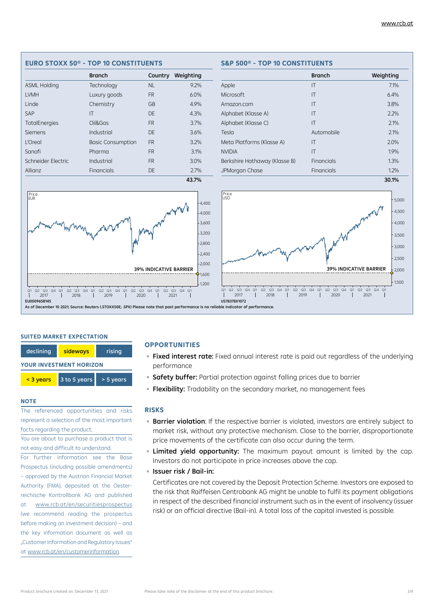#### Branch Weighting Apple 7.1% Microsoft 6.4% Amazon.com IT 3.8% Alphabet (Klasse A) IT 2.2% Alphabet (Klasse C) **IT** 2.1% Tesla 2.1% Meta Platforms (Klasse A) IT 2.0% NVIDIA IT 1.9% Berkshire Hathaway (Klasse B) Financials 1.3% JPMorgan Chase **Financials** Financials 1.2% 30.1% and the contract of the contract of the contract of the contract of the contract of the contract of the c Branch Country Weighting ASML Holding Technology NL 9.2% LVMH Luxury goods FR 6.0% Linde Chemistry GB 4.9% SAP **IT** IT DE 4.3% TotalEnergies Oil&Gas FR 3.7% Siemens Industrial DE 3.6% L'Oreal Basic Consumption FR 3.2% Sanofi **Pharma** FR 3.1% Schneider Electric Industrial FR 3.0% Allianz **Financials DE** 2.7% 43.7% Price<br>FUR 1,200 1,600 2,000  $-2.400$  $-2,800$ 3,200  $-3,600$ 4,000 Q1 Q2 Q3 Q4 Q1 Q2 Q3 Q4 Q1 Q2 Q3 Q4 Q1 Q2 Q3 Q4 Q1 Q2 Q3 Q4 Q1 2017 2018 2019 2020 2021 4,400 39% INDICATIVE BARRIER EU0009658145 1,500  $-2.000$ 2,500  $3,000$ 3,500 4,000 4,500 Q1 Q2 Q3 Q4 Q1 Q2 Q3 Q4 Q1 Q2 Q3 Q4 Q1 Q2 Q3 Q4 Q1 Q2 Q3 Q4 Q1 2017 2018 2019 2020 2021 5,000 Price<br>USD 39% INDICATIVE BARRIER US78378X1072

**EURO STOXX 50® - TOP 10 CONSTITUENTS S&P 500® - TOP 10 CONSTITUENTS**

#### **SUITED MARKET EXPECTATION**

| declining                      | sideways     |           |  |  |  |
|--------------------------------|--------------|-----------|--|--|--|
| <b>YOUR INVESTMENT HORIZON</b> |              |           |  |  |  |
| < 3 years                      | 3 to 5 years | > 5 years |  |  |  |

#### **NOTE**

The referenced opportunities and risks represent a selection of the most important facts regarding the product.

You are about to purchase a product that is not easy and difficult to understand.

For further information see the Base Prospectus (including possible amendments) – approved by the Austrian Financial Market Authority (FMA), deposited at the Oesterreichische Kontrollbank AG and published at www.rcb.at/en/securitiesprospectus (we recommend reading the prospectus before making an investment decision) – and the key information document as well as "Customer Information and Regulatory Issues" at www.rcb.at/en/customerinformation.

### **OPPORTUNITIES**

- Fixed interest rate: Fixed annual interest rate is paid out regardless of the underlying performance
- **Safety buffer:** Partial protection against falling prices due to barrier
- Flexibility: Tradability on the secondary market, no management fees

#### **RISKS**

As of December 10 2021; Source: Reuters (.STOXX50E; .SPX) Please note that past performance is no reliable indicator of performance.

- **Barrier violation**: If the respective barrier is violated, investors are entirely subject to market risk, without any protective mechanism. Close to the barrier, disproportionate price movements of the certificate can also occur during the term.
- **Elimited yield opportunity:** The maximum payout amount is limited by the cap. Investors do not participate in price increases above the cap.
- Issuer risk / Bail-in:

Certificates are not covered by the Deposit Protection Scheme. Investors are exposed to the risk that Raiffeisen Centrobank AG might be unable to fulfil its payment obligations in respect of the described financial instrument such as in the event of insolvency (issuer risk) or an official directive (Bail-in). A total loss of the capital invested is possible.